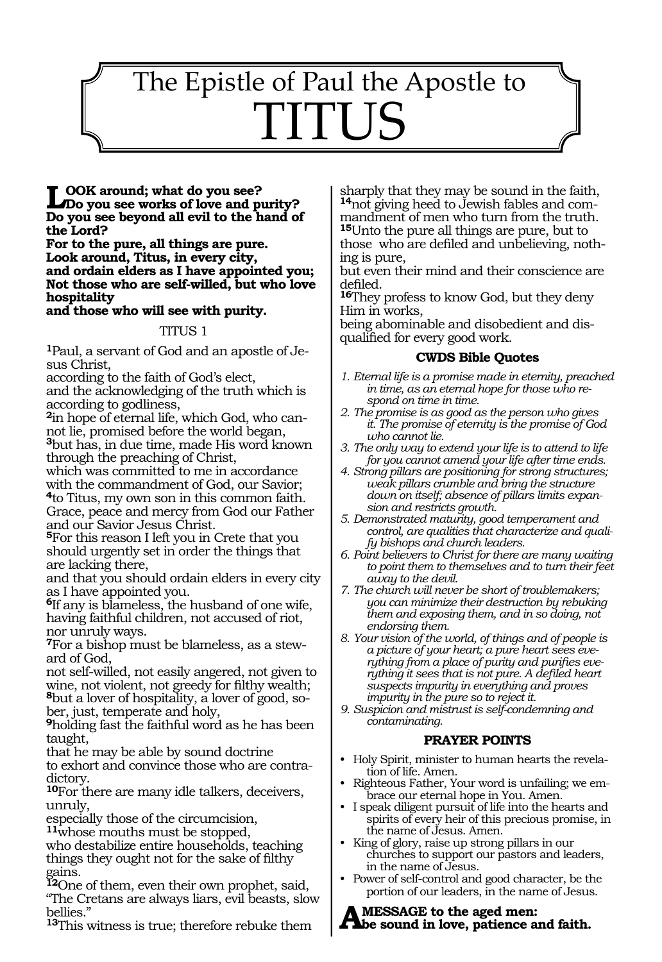# 1519 The Epistle of Paul the Apostle to TITUS

**Look around; what do you see? Do you see works of love and purity? Do you see beyond all evil to the hand of the Lord?**

**For to the pure, all things are pure. Look around, Titus, in every city, and ordain elders as I have appointed you; Not those who are self-willed, but who love hospitality** 

### **and those who will see with purity.**

#### TITUS 1

**1**Paul, a servant of God and an apostle of Jesus Christ,

according to the faith of God's elect,

and the acknowledging of the truth which is according to godliness,

**2**in hope of eternal life, which God, who cannot lie, promised before the world began, **<sup>3</sup>**but has, in due time, made His word known through the preaching of Christ,

which was committed to me in accordance with the commandment of God, our Savior; **<sup>4</sup>**to Titus, my own son in this common faith. Grace, peace and mercy from God our Father and our Savior Jesus Christ.

**<sup>5</sup>**For this reason I left you in Crete that you should urgently set in order the things that are lacking there,

and that you should ordain elders in every city as I have appointed you.

**<sup>6</sup>**If any is blameless, the husband of one wife, having faithful children, not accused of riot, nor unruly ways.

**7**For a bishop must be blameless, as a steward of God,

not self-willed, not easily angered, not given to wine, not violent, not greedy for filthy wealth; **8**but a lover of hospitality, a lover of good, sober, just, temperate and holy,

**<sup>9</sup>**holding fast the faithful word as he has been taught,

that he may be able by sound doctrine to exhort and convince those who are contradictory.

**<sup>10</sup>**For there are many idle talkers, deceivers, unruly,

especially those of the circumcision,

**<sup>11</sup>**whose mouths must be stopped,

who destabilize entire households, teaching things they ought not for the sake of filthy gains.

**<sup>12</sup>**One of them, even their own prophet, said, "The Cretans are always liars, evil beasts, slow bellies."

**<sup>13</sup>**This witness is true; therefore rebuke them

sharply that they may be sound in the faith, **14**not giving heed to Jewish fables and commandment of men who turn from the truth. **<sup>15</sup>**Unto the pure all things are pure, but to those who are defiled and unbelieving, nothing is pure,

but even their mind and their conscience are defiled.

**<sup>16</sup>**They profess to know God, but they deny Him in works,

being abominable and disobedient and disqualified for every good work.

#### **CWDS Bible Quotes**

- *1. Eternal life is a promise made in eternity, preached in time, as an eternal hope for those who respond on time in time.*
- *2. The promise is as good as the person who gives it. The promise of eternity is the promise of God who cannot lie.*
- *3. The only way to extend your life is to attend to life for you cannot amend your life after time ends.*
- *4. Strong pillars are positioning for strong structures; weak pillars crumble and bring the structure down on itself; absence of pillars limits expansion and restricts growth.*
- *5. Demonstrated maturity, good temperament and control, are qualities that characterize and qualify bishops and church leaders.*
- *6. Point believers to Christ for there are many waiting to point them to themselves and to turn their feet away to the devil.*
- *7. The church will never be short of troublemakers; you can minimize their destruction by rebuking them and exposing them, and in so doing, not endorsing them.*
- *8. Your vision of the world, of things and of people is a picture of your heart; a pure heart sees everything from a place of purity and purifies everything it sees that is not pure. A defiled heart suspects impurity in everything and proves impurity in the pure so to reject it.*
- *9. Suspicion and mistrust is self-condemning and contaminating.*

## **PRAYER POINTS**

- Holy Spirit, minister to human hearts the revelation of life. Amen.
- Righteous Father, Your word is unfailing; we embrace our eternal hope in You. Amen.
- I speak diligent pursuit of life into the hearts and spirits of every heir of this precious promise, in the name of Jesus. Amen.
- King of glory, raise up strong pillars in our churches to support our pastors and leaders, in the name of Jesus.
- Power of self-control and good character, be the portion of our leaders, in the name of Jesus.

# AMESSAGE to the aged men:<br> **A** be sound in love, patience and faith.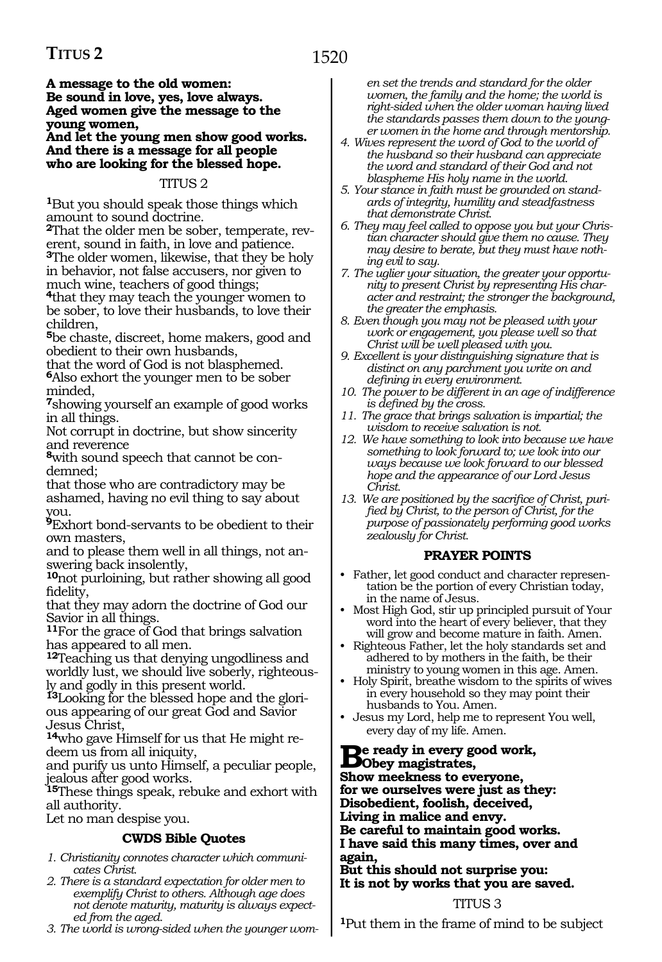# **TITUS 2**

**A message to the old women: Be sound in love, yes, love always. Aged women give the message to the young women,** 

**And let the young men show good works. And there is a message for all people who are looking for the blessed hope.** 

#### TITUS 2

**<sup>1</sup>**But you should speak those things which amount to sound doctrine.

**2**That the older men be sober, temperate, reverent, sound in faith, in love and patience. **<sup>3</sup>**The older women, likewise, that they be holy in behavior, not false accusers, nor given to much wine, teachers of good things;

**<sup>4</sup>**that they may teach the younger women to be sober, to love their husbands, to love their children,

**<sup>5</sup>**be chaste, discreet, home makers, good and obedient to their own husbands,

that the word of God is not blasphemed. **<sup>6</sup>**Also exhort the younger men to be sober minded,

**<sup>7</sup>**showing yourself an example of good works in all things.

Not corrupt in doctrine, but show sincerity and reverence

**8**with sound speech that cannot be condemned;

that those who are contradictory may be ashamed, having no evil thing to say about you.

**<sup>9</sup>**Exhort bond-servants to be obedient to their own masters,

and to please them well in all things, not answering back insolently,

**<sup>10</sup>**not purloining, but rather showing all good fidelity,

that they may adorn the doctrine of God our Savior in all things.

**<sup>11</sup>**For the grace of God that brings salvation has appeared to all men.

**<sup>12</sup>**Teaching us that denying ungodliness and worldly lust, we should live soberly, righteously and godly in this present world.

**13**Looking for the blessed hope and the glorious appearing of our great God and Savior Jesus Christ,

**14**who gave Himself for us that He might redeem us from all iniquity,

and purify us unto Himself, a peculiar people, jealous after good works.

**<sup>15</sup>**These things speak, rebuke and exhort with all authority.

Let no man despise you.

#### **CWDS Bible Quotes**

- *1. Christianity connotes character which communicates Christ.*
- *2. There is a standard expectation for older men to exemplify Christ to others. Although age does not denote maturity, maturity is always expected from the aged.*
- *3. The world is wrong-sided when the younger wom-*

*en set the trends and standard for the older women, the family and the home; the world is right-sided when the older woman having lived the standards passes them down to the younger women in the home and through mentorship.*

- *4. Wives represent the word of God to the world of the husband so their husband can appreciate the word and standard of their God and not blaspheme His holy name in the world.*
- *5. Your stance in faith must be grounded on standards of integrity, humility and steadfastness that demonstrate Christ.*
- *6. They may feel called to oppose you but your Christian character should give them no cause. They may desire to berate, but they must have nothing evil to say.*
- *7. The uglier your situation, the greater your opportunity to present Christ by representing His character and restraint; the stronger the background, the greater the emphasis.*
- *8. Even though you may not be pleased with your work or engagement, you please well so that Christ will be well pleased with you.*
- *9. Excellent is your distinguishing signature that is distinct on any parchment you write on and defining in every environment.*
- *10. The power to be different in an age of indifference is defined by the cross.*
- *11. The grace that brings salvation is impartial; the wisdom to receive salvation is not.*
- *12. We have something to look into because we have something to look forward to; we look into our ways because we look forward to our blessed hope and the appearance of our Lord Jesus Christ.*
- *13. We are positioned by the sacrifice of Christ, purified by Christ, to the person of Christ, for the purpose of passionately performing good works zealously for Christ.*

#### **PRAYER POINTS**

- Father, let good conduct and character representation be the portion of every Christian today, in the name of Jesus.
- Most High God, stir up principled pursuit of Your word into the heart of every believer, that they will grow and become mature in faith. Amen.
- Righteous Father, let the holy standards set and adhered to by mothers in the faith, be their ministry to young women in this age. Amen.
- Holy Spirit, breathe wisdom to the spirits of wives in every household so they may point their husbands to You. Amen.
- Jesus my Lord, help me to represent You well, every day of my life. Amen.

# **Be ready in every good work, Obey magistrates,**

**Show meekness to everyone, for we ourselves were just as they: Disobedient, foolish, deceived, Living in malice and envy. Be careful to maintain good works. I have said this many times, over and again,**

**But this should not surprise you: It is not by works that you are saved.**

### TITUS 3

**<sup>1</sup>**Put them in the frame of mind to be subject